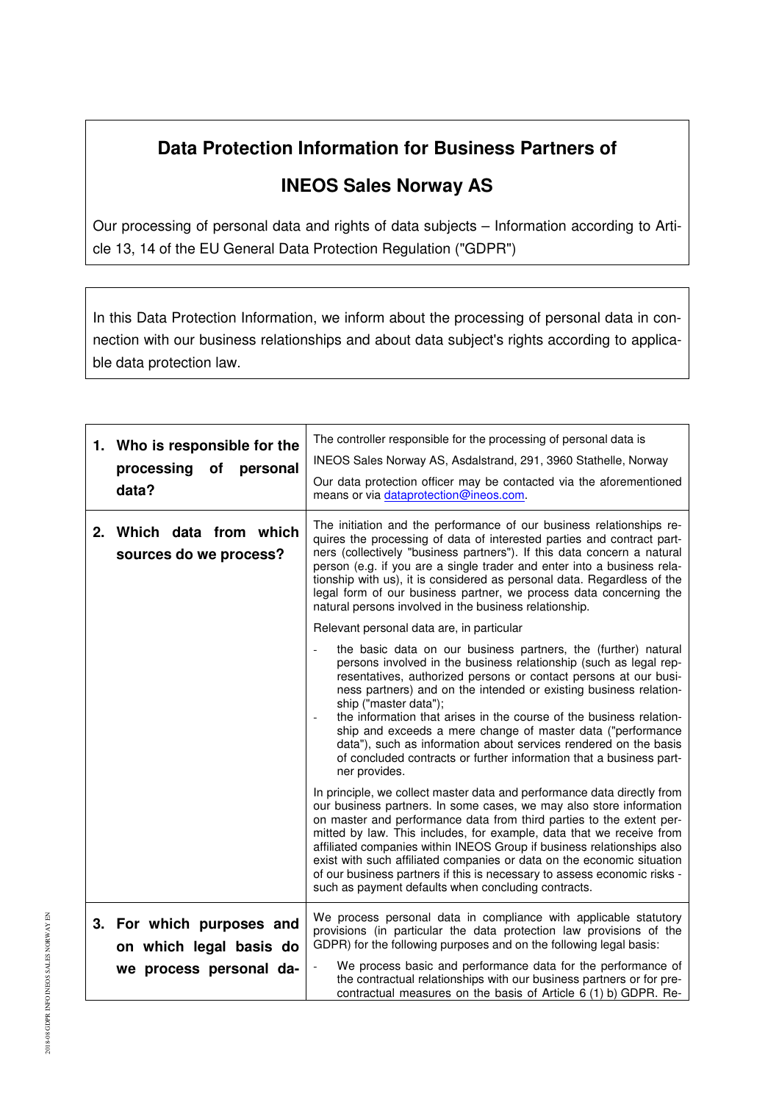## **Data Protection Information for Business Partners of**

## **INEOS Sales Norway AS**

Our processing of personal data and rights of data subjects – Information according to Article 13, 14 of the EU General Data Protection Regulation ("GDPR")

In this Data Protection Information, we inform about the processing of personal data in connection with our business relationships and about data subject's rights according to applicable data protection law.

| 1. Who is responsible for the<br>processing of<br>personal<br>data? | The controller responsible for the processing of personal data is<br>INEOS Sales Norway AS, Asdalstrand, 291, 3960 Stathelle, Norway<br>Our data protection officer may be contacted via the aforementioned<br>means or via dataprotection@ineos.com.                                                                                                                                                                                                                                                                                                                                                   |
|---------------------------------------------------------------------|---------------------------------------------------------------------------------------------------------------------------------------------------------------------------------------------------------------------------------------------------------------------------------------------------------------------------------------------------------------------------------------------------------------------------------------------------------------------------------------------------------------------------------------------------------------------------------------------------------|
| 2. Which data from which<br>sources do we process?                  | The initiation and the performance of our business relationships re-<br>quires the processing of data of interested parties and contract part-<br>ners (collectively "business partners"). If this data concern a natural<br>person (e.g. if you are a single trader and enter into a business rela-<br>tionship with us), it is considered as personal data. Regardless of the<br>legal form of our business partner, we process data concerning the<br>natural persons involved in the business relationship.                                                                                         |
|                                                                     | Relevant personal data are, in particular                                                                                                                                                                                                                                                                                                                                                                                                                                                                                                                                                               |
|                                                                     | the basic data on our business partners, the (further) natural<br>persons involved in the business relationship (such as legal rep-<br>resentatives, authorized persons or contact persons at our busi-<br>ness partners) and on the intended or existing business relation-<br>ship ("master data");<br>the information that arises in the course of the business relation-<br>ship and exceeds a mere change of master data ("performance<br>data"), such as information about services rendered on the basis<br>of concluded contracts or further information that a business part-<br>ner provides. |
|                                                                     | In principle, we collect master data and performance data directly from<br>our business partners. In some cases, we may also store information<br>on master and performance data from third parties to the extent per-<br>mitted by law. This includes, for example, data that we receive from<br>affiliated companies within INEOS Group if business relationships also<br>exist with such affiliated companies or data on the economic situation<br>of our business partners if this is necessary to assess economic risks -<br>such as payment defaults when concluding contracts.                   |
| 3. For which purposes and<br>on which legal basis do                | We process personal data in compliance with applicable statutory<br>provisions (in particular the data protection law provisions of the<br>GDPR) for the following purposes and on the following legal basis:                                                                                                                                                                                                                                                                                                                                                                                           |
| we process personal da-                                             | We process basic and performance data for the performance of<br>the contractual relationships with our business partners or for pre-<br>contractual measures on the basis of Article 6 (1) b) GDPR. Re-                                                                                                                                                                                                                                                                                                                                                                                                 |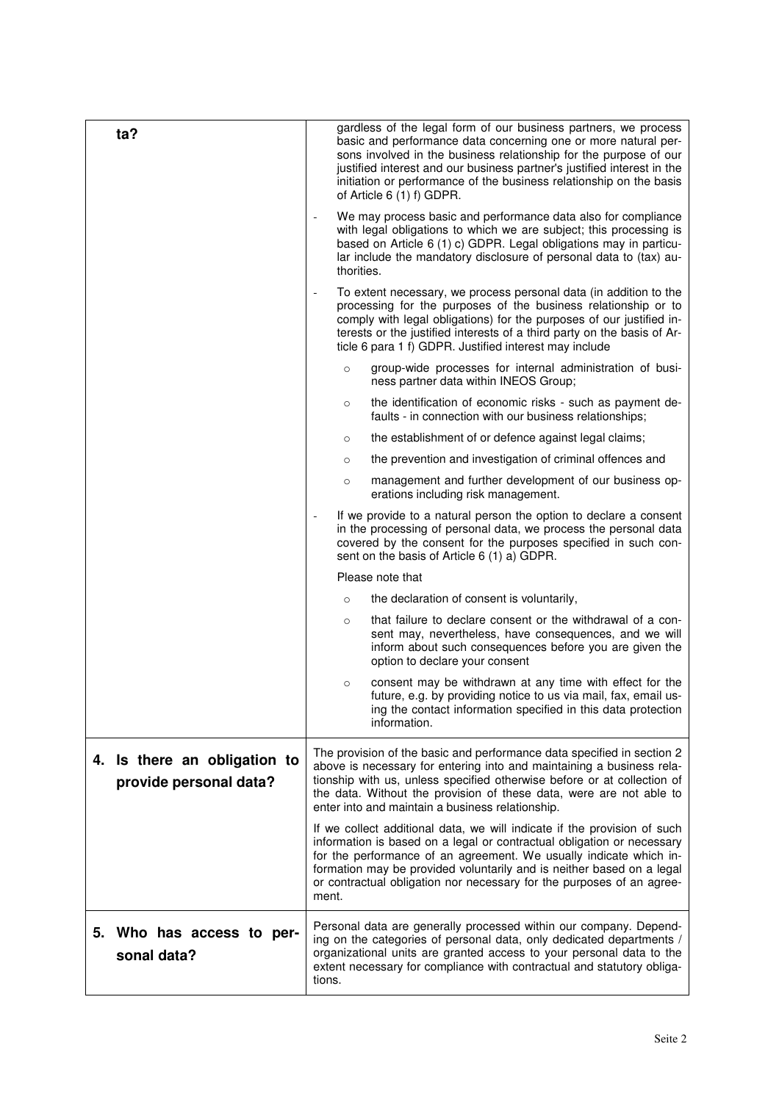| ta?                                                    | gardless of the legal form of our business partners, we process<br>basic and performance data concerning one or more natural per-<br>sons involved in the business relationship for the purpose of our<br>justified interest and our business partner's justified interest in the<br>initiation or performance of the business relationship on the basis<br>of Article $6(1)$ f) GDPR. |
|--------------------------------------------------------|----------------------------------------------------------------------------------------------------------------------------------------------------------------------------------------------------------------------------------------------------------------------------------------------------------------------------------------------------------------------------------------|
|                                                        | We may process basic and performance data also for compliance<br>with legal obligations to which we are subject; this processing is<br>based on Article 6 (1) c) GDPR. Legal obligations may in particu-<br>lar include the mandatory disclosure of personal data to (tax) au-<br>thorities.                                                                                           |
|                                                        | To extent necessary, we process personal data (in addition to the<br>processing for the purposes of the business relationship or to<br>comply with legal obligations) for the purposes of our justified in-<br>terests or the justified interests of a third party on the basis of Ar-<br>ticle 6 para 1 f) GDPR. Justified interest may include                                       |
|                                                        | group-wide processes for internal administration of busi-<br>$\circ$<br>ness partner data within INEOS Group;                                                                                                                                                                                                                                                                          |
|                                                        | the identification of economic risks - such as payment de-<br>$\circ$<br>faults - in connection with our business relationships;                                                                                                                                                                                                                                                       |
|                                                        | the establishment of or defence against legal claims;<br>$\circ$                                                                                                                                                                                                                                                                                                                       |
|                                                        | the prevention and investigation of criminal offences and<br>$\circ$                                                                                                                                                                                                                                                                                                                   |
|                                                        | management and further development of our business op-<br>$\circ$<br>erations including risk management.                                                                                                                                                                                                                                                                               |
|                                                        | If we provide to a natural person the option to declare a consent<br>in the processing of personal data, we process the personal data<br>covered by the consent for the purposes specified in such con-<br>sent on the basis of Article 6 (1) a) GDPR.                                                                                                                                 |
|                                                        | Please note that                                                                                                                                                                                                                                                                                                                                                                       |
|                                                        | the declaration of consent is voluntarily,<br>$\circ$                                                                                                                                                                                                                                                                                                                                  |
|                                                        | that failure to declare consent or the withdrawal of a con-<br>$\circ$<br>sent may, nevertheless, have consequences, and we will<br>inform about such consequences before you are given the<br>option to declare your consent                                                                                                                                                          |
|                                                        | consent may be withdrawn at any time with effect for the<br>$\circ$<br>future, e.g. by providing notice to us via mail, fax, email us-<br>ing the contact information specified in this data protection<br>information.                                                                                                                                                                |
| 4. Is there an obligation to<br>provide personal data? | The provision of the basic and performance data specified in section 2<br>above is necessary for entering into and maintaining a business rela-<br>tionship with us, unless specified otherwise before or at collection of<br>the data. Without the provision of these data, were are not able to<br>enter into and maintain a business relationship.                                  |
|                                                        | If we collect additional data, we will indicate if the provision of such<br>information is based on a legal or contractual obligation or necessary<br>for the performance of an agreement. We usually indicate which in-<br>formation may be provided voluntarily and is neither based on a legal<br>or contractual obligation nor necessary for the purposes of an agree-<br>ment.    |
| 5. Who has access to per-<br>sonal data?               | Personal data are generally processed within our company. Depend-<br>ing on the categories of personal data, only dedicated departments /<br>organizational units are granted access to your personal data to the<br>extent necessary for compliance with contractual and statutory obliga-<br>tions.                                                                                  |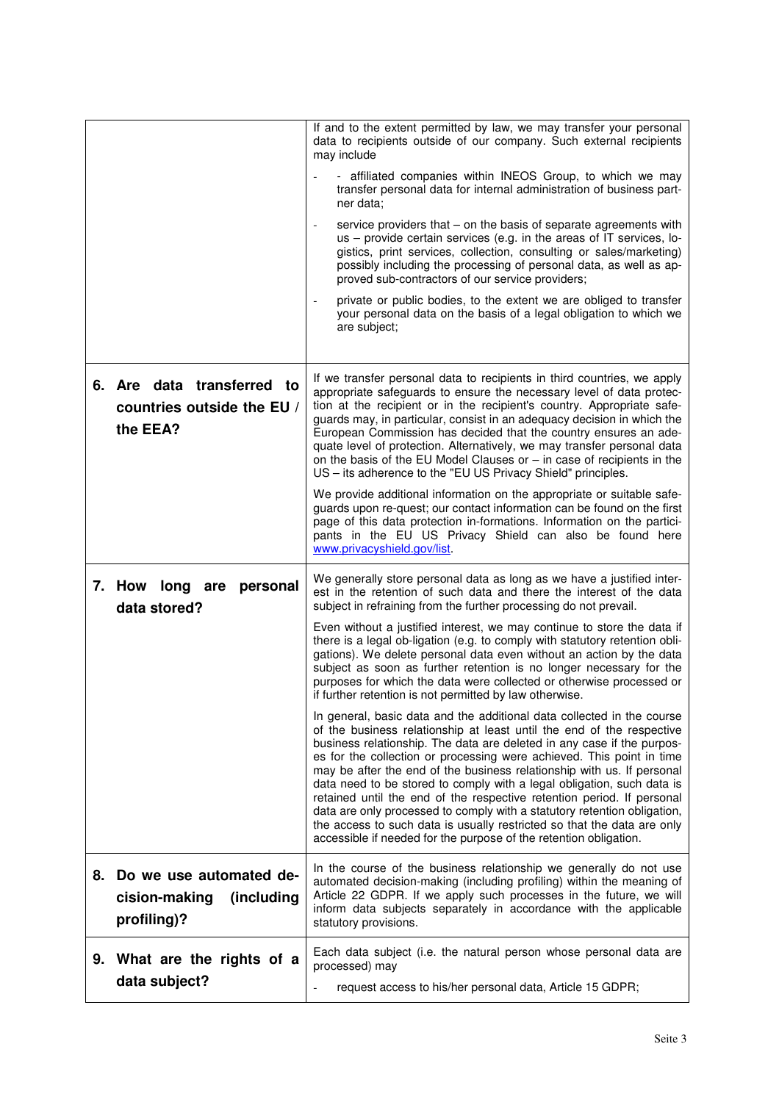|                                                                           | If and to the extent permitted by law, we may transfer your personal<br>data to recipients outside of our company. Such external recipients<br>may include<br>- affiliated companies within INEOS Group, to which we may<br>transfer personal data for internal administration of business part-<br>ner data:<br>service providers that - on the basis of separate agreements with<br>$\blacksquare$<br>us – provide certain services (e.g. in the areas of IT services, lo-<br>gistics, print services, collection, consulting or sales/marketing)<br>possibly including the processing of personal data, as well as ap-<br>proved sub-contractors of our service providers;<br>private or public bodies, to the extent we are obliged to transfer<br>your personal data on the basis of a legal obligation to which we<br>are subject; |
|---------------------------------------------------------------------------|------------------------------------------------------------------------------------------------------------------------------------------------------------------------------------------------------------------------------------------------------------------------------------------------------------------------------------------------------------------------------------------------------------------------------------------------------------------------------------------------------------------------------------------------------------------------------------------------------------------------------------------------------------------------------------------------------------------------------------------------------------------------------------------------------------------------------------------|
| 6. Are data transferred to<br>countries outside the EU /<br>the EEA?      | If we transfer personal data to recipients in third countries, we apply<br>appropriate safeguards to ensure the necessary level of data protec-<br>tion at the recipient or in the recipient's country. Appropriate safe-<br>guards may, in particular, consist in an adequacy decision in which the<br>European Commission has decided that the country ensures an ade-<br>quate level of protection. Alternatively, we may transfer personal data<br>on the basis of the EU Model Clauses or $-$ in case of recipients in the<br>US - its adherence to the "EU US Privacy Shield" principles.<br>We provide additional information on the appropriate or suitable safe-                                                                                                                                                                |
|                                                                           | guards upon re-quest; our contact information can be found on the first<br>page of this data protection in-formations. Information on the partici-<br>pants in the EU US Privacy Shield can also be found here<br>www.privacyshield.gov/list.                                                                                                                                                                                                                                                                                                                                                                                                                                                                                                                                                                                            |
| 7. How long<br>personal<br>are<br>data stored?                            | We generally store personal data as long as we have a justified inter-<br>est in the retention of such data and there the interest of the data<br>subject in refraining from the further processing do not prevail.                                                                                                                                                                                                                                                                                                                                                                                                                                                                                                                                                                                                                      |
|                                                                           | Even without a justified interest, we may continue to store the data if<br>there is a legal ob-ligation (e.g. to comply with statutory retention obli-<br>gations). We delete personal data even without an action by the data<br>subject as soon as further retention is no longer necessary for the<br>purposes for which the data were collected or otherwise processed or<br>if further retention is not permitted by law otherwise.                                                                                                                                                                                                                                                                                                                                                                                                 |
|                                                                           | In general, basic data and the additional data collected in the course<br>of the business relationship at least until the end of the respective<br>business relationship. The data are deleted in any case if the purpos-<br>es for the collection or processing were achieved. This point in time<br>may be after the end of the business relationship with us. If personal<br>data need to be stored to comply with a legal obligation, such data is<br>retained until the end of the respective retention period. If personal<br>data are only processed to comply with a statutory retention obligation,<br>the access to such data is usually restricted so that the data are only<br>accessible if needed for the purpose of the retention obligation.                                                                             |
| 8. Do we use automated de-<br>cision-making<br>(including)<br>profiling)? | In the course of the business relationship we generally do not use<br>automated decision-making (including profiling) within the meaning of<br>Article 22 GDPR. If we apply such processes in the future, we will<br>inform data subjects separately in accordance with the applicable<br>statutory provisions.                                                                                                                                                                                                                                                                                                                                                                                                                                                                                                                          |
| What are the rights of a<br>9.<br>data subject?                           | Each data subject (i.e. the natural person whose personal data are<br>processed) may<br>request access to his/her personal data, Article 15 GDPR;<br>$\qquad \qquad \blacksquare$                                                                                                                                                                                                                                                                                                                                                                                                                                                                                                                                                                                                                                                        |